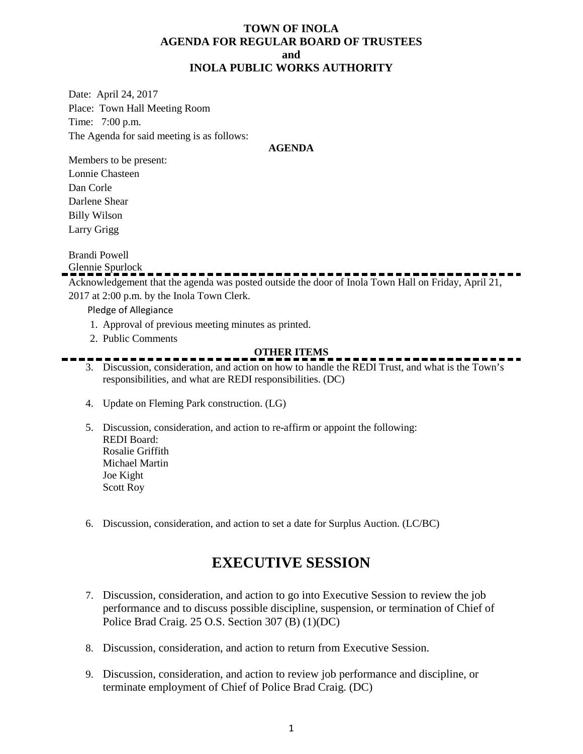## **TOWN OF INOLA AGENDA FOR REGULAR BOARD OF TRUSTEES and INOLA PUBLIC WORKS AUTHORITY**

Date: April 24, 2017 Place: Town Hall Meeting Room Time: 7:00 p.m. The Agenda for said meeting is as follows:

#### **AGENDA**

Members to be present: Lonnie Chasteen Dan Corle Darlene Shear Billy Wilson Larry Grigg

Brandi Powell

Glennie Spurlock

Acknowledgement that the agenda was posted outside the door of Inola Town Hall on Friday, April 21, 2017 at 2:00 p.m. by the Inola Town Clerk.

Pledge of Allegiance

- 1. Approval of previous meeting minutes as printed.
- 2. Public Comments

### **OTHER ITEMS**

- 3. Discussion, consideration, and action on how to handle the REDI Trust, and what is the Town's responsibilities, and what are REDI responsibilities. (DC)
- 4. Update on Fleming Park construction. (LG)
- 5. Discussion, consideration, and action to re-affirm or appoint the following: REDI Board: Rosalie Griffith Michael Martin Joe Kight Scott Roy
- 6. Discussion, consideration, and action to set a date for Surplus Auction. (LC/BC)

# **EXECUTIVE SESSION**

- 7. Discussion, consideration, and action to go into Executive Session to review the job performance and to discuss possible discipline, suspension, or termination of Chief of Police Brad Craig. 25 O.S. Section 307 (B) (1)(DC)
- 8. Discussion, consideration, and action to return from Executive Session.
- 9. Discussion, consideration, and action to review job performance and discipline, or terminate employment of Chief of Police Brad Craig. (DC)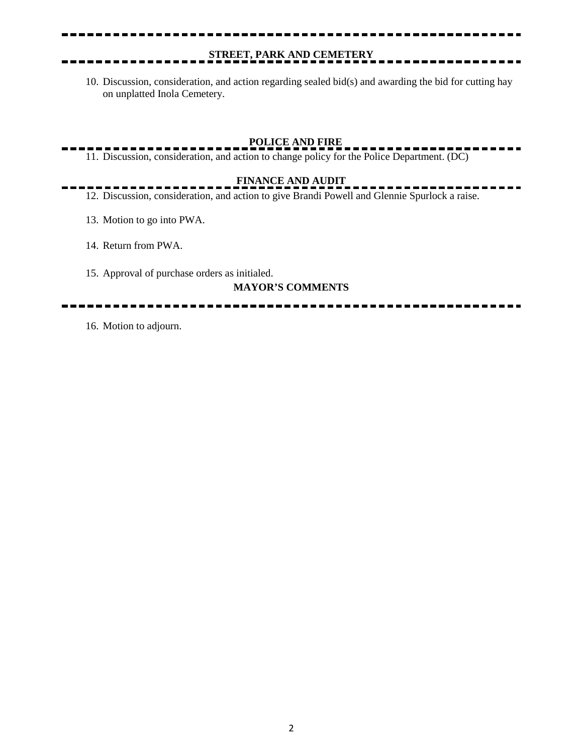## **STREET, PARK AND CEMETERY**

10. Discussion, consideration, and action regarding sealed bid(s) and awarding the bid for cutting hay on unplatted Inola Cemetery.

## **POLICE AND FIRE**

11. Discussion, consideration, and action to change policy for the Police Department. (DC)

## **FINANCE AND AUDIT**

12. Discussion, consideration, and action to give Brandi Powell and Glennie Spurlock a raise.

- 13. Motion to go into PWA.
- 14. Return from PWA.
- 15. Approval of purchase orders as initialed.

#### **MAYOR'S COMMENTS**

16. Motion to adjourn.